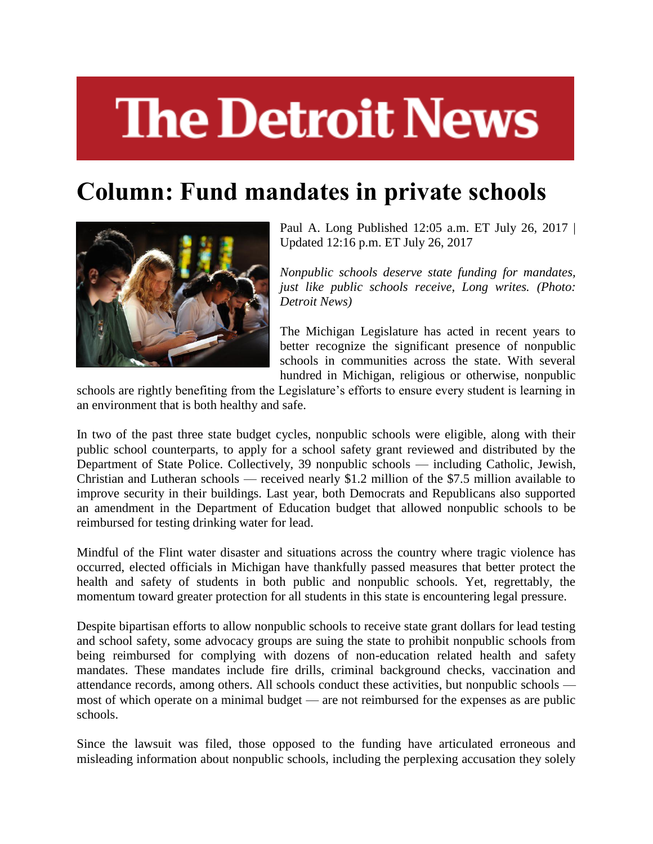## **The Detroit News**

## **Column: Fund mandates in private schools**



Paul A. Long Published 12:05 a.m. ET July 26, 2017 | Updated 12:16 p.m. ET July 26, 2017

*Nonpublic schools deserve state funding for mandates, just like public schools receive, Long writes. (Photo: Detroit News)*

The Michigan Legislature has acted in recent years to better recognize the significant presence of nonpublic schools in communities across the state. With several hundred in Michigan, religious or otherwise, nonpublic

schools are rightly benefiting from the Legislature's efforts to ensure every student is learning in an environment that is both healthy and safe.

In two of the past three state budget cycles, nonpublic schools were eligible, along with their public school counterparts, to apply for a school safety grant reviewed and distributed by the Department of State Police. Collectively, 39 nonpublic schools — including Catholic, Jewish, Christian and Lutheran schools — received nearly \$1.2 million of the \$7.5 million available to improve security in their buildings. Last year, both Democrats and Republicans also supported an amendment in the Department of Education budget that allowed nonpublic schools to be reimbursed for testing drinking water for lead.

Mindful of the Flint water disaster and situations across the country where tragic violence has occurred, elected officials in Michigan have thankfully passed measures that better protect the health and safety of students in both public and nonpublic schools. Yet, regrettably, the momentum toward greater protection for all students in this state is encountering legal pressure.

Despite bipartisan efforts to allow nonpublic schools to receive state grant dollars for lead testing and school safety, some advocacy groups are suing the state to prohibit nonpublic schools from being reimbursed for complying with dozens of non-education related health and safety mandates. These mandates include fire drills, criminal background checks, vaccination and attendance records, among others. All schools conduct these activities, but nonpublic schools most of which operate on a minimal budget — are not reimbursed for the expenses as are public schools.

Since the lawsuit was filed, those opposed to the funding have articulated erroneous and misleading information about nonpublic schools, including the perplexing accusation they solely